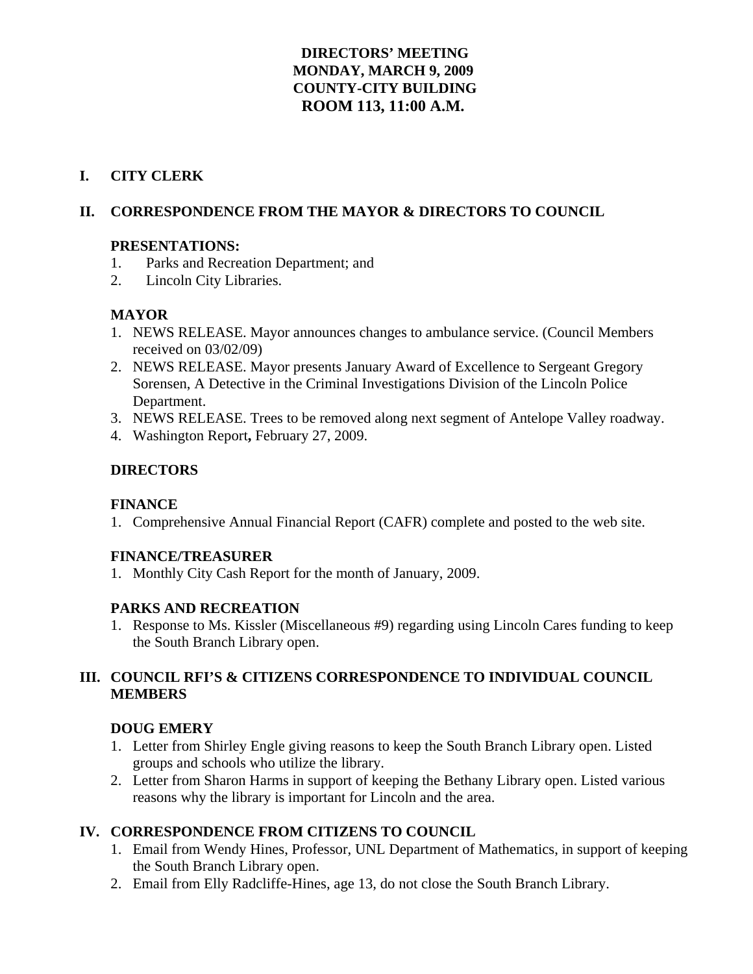## **DIRECTORS' MEETING MONDAY, MARCH 9, 2009 COUNTY-CITY BUILDING ROOM 113, 11:00 A.M.**

## **I. CITY CLERK**

## **II. CORRESPONDENCE FROM THE MAYOR & DIRECTORS TO COUNCIL**

### **PRESENTATIONS:**

- 1. Parks and Recreation Department; and
- 2. Lincoln City Libraries.

## **MAYOR**

- 1. NEWS RELEASE. Mayor announces changes to ambulance service. (Council Members received on 03/02/09)
- 2. NEWS RELEASE. Mayor presents January Award of Excellence to Sergeant Gregory Sorensen, A Detective in the Criminal Investigations Division of the Lincoln Police Department.
- 3. NEWS RELEASE. Trees to be removed along next segment of Antelope Valley roadway.
- 4. Washington Report**,** February 27, 2009.

## **DIRECTORS**

## **FINANCE**

1. Comprehensive Annual Financial Report (CAFR) complete and posted to the web site.

### **FINANCE/TREASURER**

1. Monthly City Cash Report for the month of January, 2009.

## **PARKS AND RECREATION**

1. Response to Ms. Kissler (Miscellaneous #9) regarding using Lincoln Cares funding to keep the South Branch Library open.

## **III. COUNCIL RFI'S & CITIZENS CORRESPONDENCE TO INDIVIDUAL COUNCIL MEMBERS**

## **DOUG EMERY**

- 1. Letter from Shirley Engle giving reasons to keep the South Branch Library open. Listed groups and schools who utilize the library.
- 2. Letter from Sharon Harms in support of keeping the Bethany Library open. Listed various reasons why the library is important for Lincoln and the area.

## **IV. CORRESPONDENCE FROM CITIZENS TO COUNCIL**

- 1. Email from Wendy Hines, Professor, UNL Department of Mathematics, in support of keeping the South Branch Library open.
- 2. Email from Elly Radcliffe-Hines, age 13, do not close the South Branch Library.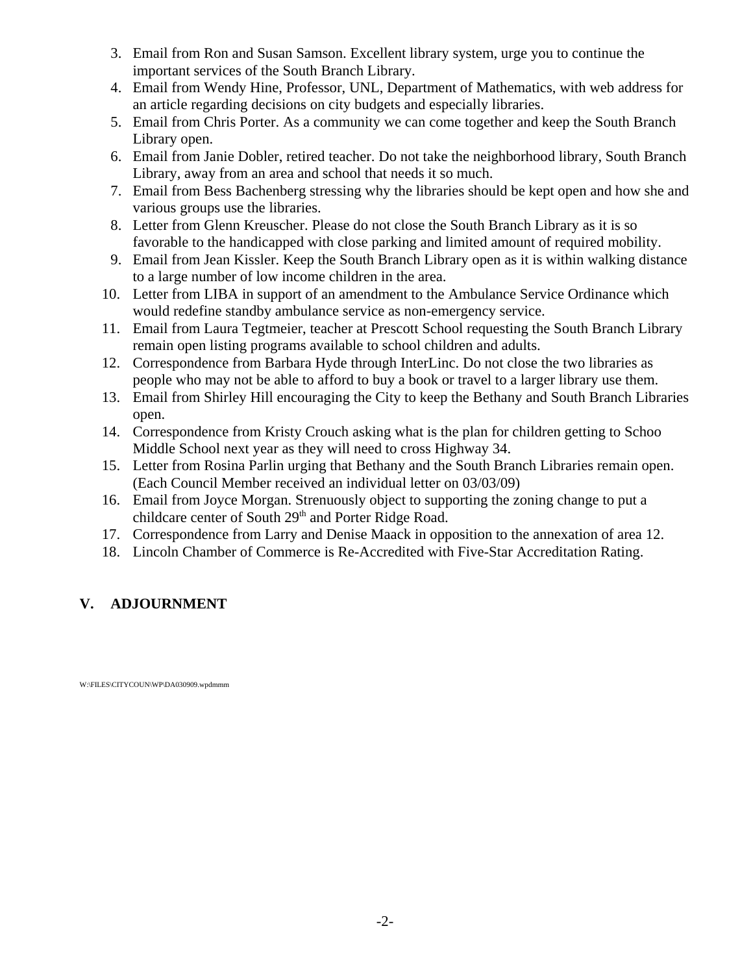- 3. Email from Ron and Susan Samson. Excellent library system, urge you to continue the important services of the South Branch Library.
- 4. Email from Wendy Hine, Professor, UNL, Department of Mathematics, with web address for an article regarding decisions on city budgets and especially libraries.
- 5. Email from Chris Porter. As a community we can come together and keep the South Branch Library open.
- 6. Email from Janie Dobler, retired teacher. Do not take the neighborhood library, South Branch Library, away from an area and school that needs it so much.
- 7. Email from Bess Bachenberg stressing why the libraries should be kept open and how she and various groups use the libraries.
- 8. Letter from Glenn Kreuscher. Please do not close the South Branch Library as it is so favorable to the handicapped with close parking and limited amount of required mobility.
- 9. Email from Jean Kissler. Keep the South Branch Library open as it is within walking distance to a large number of low income children in the area.
- 10. Letter from LIBA in support of an amendment to the Ambulance Service Ordinance which would redefine standby ambulance service as non-emergency service.
- 11. Email from Laura Tegtmeier, teacher at Prescott School requesting the South Branch Library remain open listing programs available to school children and adults.
- 12. Correspondence from Barbara Hyde through InterLinc. Do not close the two libraries as people who may not be able to afford to buy a book or travel to a larger library use them.
- 13. Email from Shirley Hill encouraging the City to keep the Bethany and South Branch Libraries open.
- 14. Correspondence from Kristy Crouch asking what is the plan for children getting to Schoo Middle School next year as they will need to cross Highway 34.
- 15. Letter from Rosina Parlin urging that Bethany and the South Branch Libraries remain open. (Each Council Member received an individual letter on 03/03/09)
- 16. Email from Joyce Morgan. Strenuously object to supporting the zoning change to put a childcare center of South  $29<sup>th</sup>$  and Porter Ridge Road.
- 17. Correspondence from Larry and Denise Maack in opposition to the annexation of area 12.
- 18. Lincoln Chamber of Commerce is Re-Accredited with Five-Star Accreditation Rating.

## **V. ADJOURNMENT**

W:\FILES\CITYCOUN\WP\DA030909.wpdmmm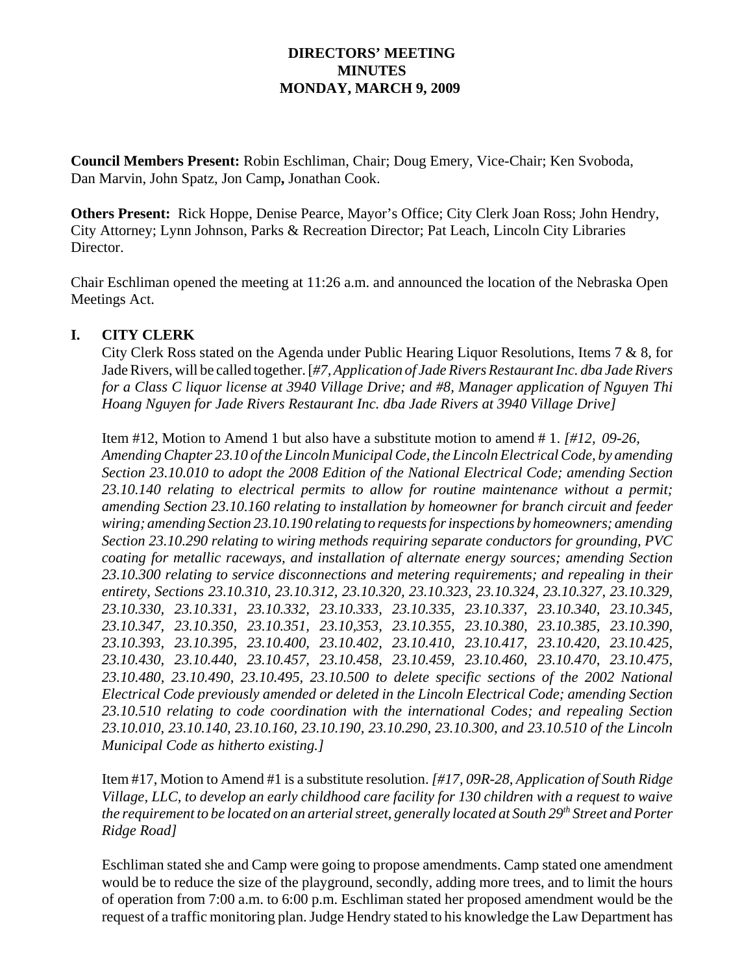### **DIRECTORS' MEETING MINUTES MONDAY, MARCH 9, 2009**

**Council Members Present:** Robin Eschliman, Chair; Doug Emery, Vice-Chair; Ken Svoboda, Dan Marvin, John Spatz, Jon Camp**,** Jonathan Cook.

**Others Present:** Rick Hoppe, Denise Pearce, Mayor's Office; City Clerk Joan Ross; John Hendry, City Attorney; Lynn Johnson, Parks & Recreation Director; Pat Leach, Lincoln City Libraries Director.

Chair Eschliman opened the meeting at 11:26 a.m. and announced the location of the Nebraska Open Meetings Act.

#### **I. CITY CLERK**

City Clerk Ross stated on the Agenda under Public Hearing Liquor Resolutions, Items 7 & 8, for Jade Rivers, will be called together. [*#7, Application of Jade Rivers Restaurant Inc. dba Jade Rivers for a Class C liquor license at 3940 Village Drive; and #8, Manager application of Nguyen Thi Hoang Nguyen for Jade Rivers Restaurant Inc. dba Jade Rivers at 3940 Village Drive]* 

Item #12, Motion to Amend 1 but also have a substitute motion to amend # 1. *[#12, 09-26, Amending Chapter 23.10 of the Lincoln Municipal Code, the Lincoln Electrical Code, by amending Section 23.10.010 to adopt the 2008 Edition of the National Electrical Code; amending Section 23.10.140 relating to electrical permits to allow for routine maintenance without a permit; amending Section 23.10.160 relating to installation by homeowner for branch circuit and feeder wiring; amending Section 23.10.190 relating to requests for inspections by homeowners; amending Section 23.10.290 relating to wiring methods requiring separate conductors for grounding, PVC coating for metallic raceways, and installation of alternate energy sources; amending Section 23.10.300 relating to service disconnections and metering requirements; and repealing in their entirety, Sections 23.10.310, 23.10.312, 23.10.320, 23.10.323, 23.10.324, 23.10.327, 23.10.329, 23.10.330, 23.10.331, 23.10.332, 23.10.333, 23.10.335, 23.10.337, 23.10.340, 23.10.345, 23.10.347, 23.10.350, 23.10.351, 23.10,353, 23.10.355, 23.10.380, 23.10.385, 23.10.390, 23.10.393, 23.10.395, 23.10.400, 23.10.402, 23.10.410, 23.10.417, 23.10.420, 23.10.425, 23.10.430, 23.10.440, 23.10.457, 23.10.458, 23.10.459, 23.10.460, 23.10.470, 23.10.475, 23.10.480, 23.10.490, 23.10.495, 23.10.500 to delete specific sections of the 2002 National Electrical Code previously amended or deleted in the Lincoln Electrical Code; amending Section 23.10.510 relating to code coordination with the international Codes; and repealing Section 23.10.010, 23.10.140, 23.10.160, 23.10.190, 23.10.290, 23.10.300, and 23.10.510 of the Lincoln Municipal Code as hitherto existing.]*

Item #17, Motion to Amend #1 is a substitute resolution. *[#17, 09R-28, Application of South Ridge Village, LLC, to develop an early childhood care facility for 130 children with a request to waive the requirement to be located on an arterial street, generally located at South 29th Street and Porter Ridge Road]*

Eschliman stated she and Camp were going to propose amendments. Camp stated one amendment would be to reduce the size of the playground, secondly, adding more trees, and to limit the hours of operation from 7:00 a.m. to 6:00 p.m. Eschliman stated her proposed amendment would be the request of a traffic monitoring plan. Judge Hendry stated to his knowledge the Law Department has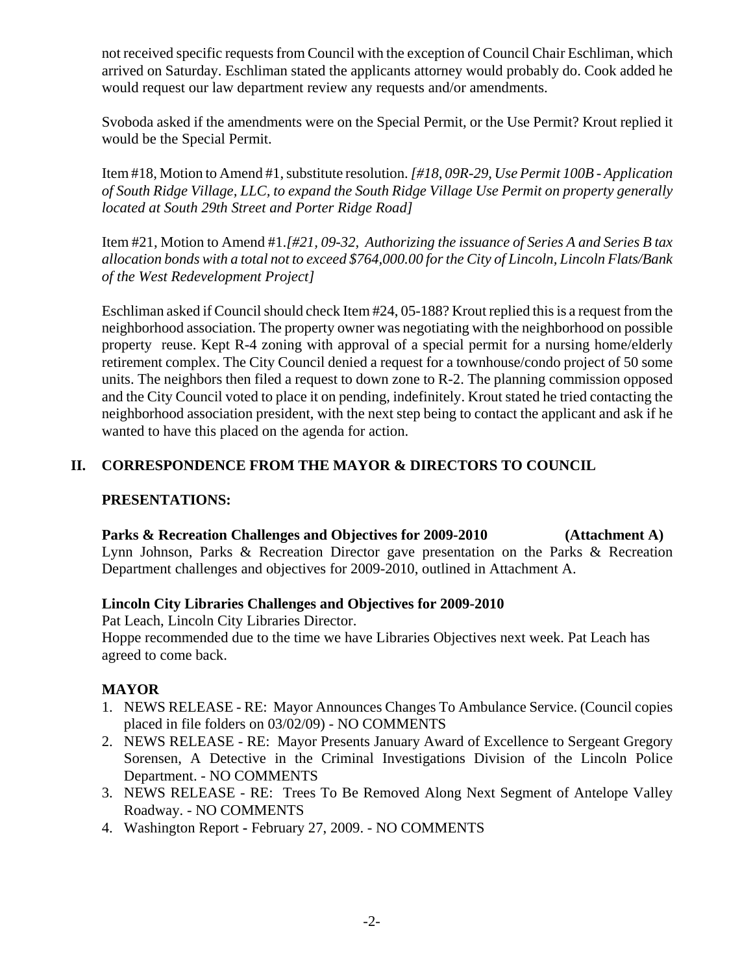not received specific requests from Council with the exception of Council Chair Eschliman, which arrived on Saturday. Eschliman stated the applicants attorney would probably do. Cook added he would request our law department review any requests and/or amendments.

Svoboda asked if the amendments were on the Special Permit, or the Use Permit? Krout replied it would be the Special Permit.

Item #18, Motion to Amend #1, substitute resolution. *[#18, 09R-29, Use Permit 100B - Application of South Ridge Village, LLC, to expand the South Ridge Village Use Permit on property generally located at South 29th Street and Porter Ridge Road]*

Item #21, Motion to Amend #1.*[#21, 09-32, Authorizing the issuance of Series A and Series B tax allocation bonds with a total not to exceed \$764,000.00 for the City of Lincoln, Lincoln Flats/Bank of the West Redevelopment Project]*

Eschliman asked if Council should check Item #24, 05-188? Krout replied this is a request from the neighborhood association. The property owner was negotiating with the neighborhood on possible property reuse. Kept R-4 zoning with approval of a special permit for a nursing home/elderly retirement complex. The City Council denied a request for a townhouse/condo project of 50 some units. The neighbors then filed a request to down zone to R-2. The planning commission opposed and the City Council voted to place it on pending, indefinitely. Krout stated he tried contacting the neighborhood association president, with the next step being to contact the applicant and ask if he wanted to have this placed on the agenda for action.

## **II. CORRESPONDENCE FROM THE MAYOR & DIRECTORS TO COUNCIL**

### **PRESENTATIONS:**

## **Parks & Recreation Challenges and Objectives for 2009-2010 (Attachment A)**

Lynn Johnson, Parks & Recreation Director gave presentation on the Parks & Recreation Department challenges and objectives for 2009-2010, outlined in Attachment A.

### **Lincoln City Libraries Challenges and Objectives for 2009-2010**

Pat Leach, Lincoln City Libraries Director.

Hoppe recommended due to the time we have Libraries Objectives next week. Pat Leach has agreed to come back.

### **MAYOR**

- 1. NEWS RELEASE RE: Mayor Announces Changes To Ambulance Service. (Council copies placed in file folders on 03/02/09) - NO COMMENTS
- 2. NEWS RELEASE RE: Mayor Presents January Award of Excellence to Sergeant Gregory Sorensen, A Detective in the Criminal Investigations Division of the Lincoln Police Department. - NO COMMENTS
- 3. NEWS RELEASE RE: Trees To Be Removed Along Next Segment of Antelope Valley Roadway. - NO COMMENTS
- 4. Washington ReportFebruary 27, 2009. NO COMMENTS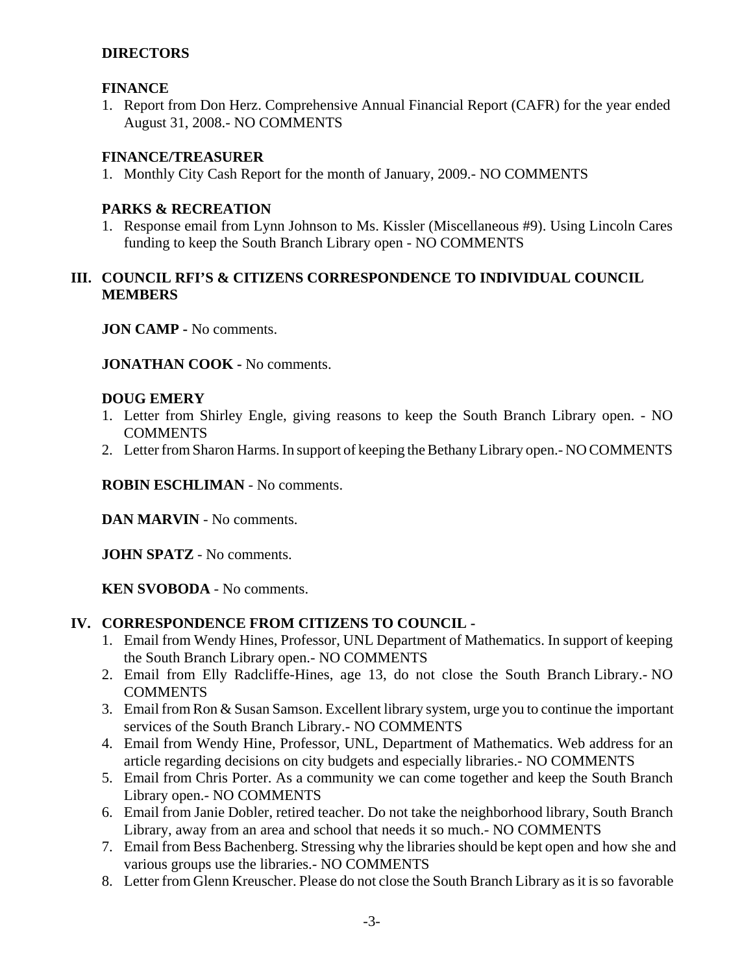### **DIRECTORS**

#### **FINANCE**

1. Report from Don Herz. Comprehensive Annual Financial Report (CAFR) for the year ended August 31, 2008.- NO COMMENTS

### **FINANCE/TREASURER**

1. Monthly City Cash Report for the month of January, 2009.- NO COMMENTS

#### **PARKS & RECREATION**

1. Response email from Lynn Johnson to Ms. Kissler (Miscellaneous #9). Using Lincoln Cares funding to keep the South Branch Library open - NO COMMENTS

## **III. COUNCIL RFI'S & CITIZENS CORRESPONDENCE TO INDIVIDUAL COUNCIL MEMBERS**

**JON CAMP -** No comments.

**JONATHAN COOK -** No comments.

#### **DOUG EMERY**

- 1. Letter from Shirley Engle, giving reasons to keep the South Branch Library open. NO COMMENTS
- 2. Letter from Sharon Harms. In support of keeping the Bethany Library open.- NO COMMENTS

**ROBIN ESCHLIMAN** - No comments.

**DAN MARVIN** - No comments.

**JOHN SPATZ** - No comments.

**KEN SVOBODA** - No comments.

### **IV. CORRESPONDENCE FROM CITIZENS TO COUNCIL -**

- 1. Email from Wendy Hines, Professor, UNL Department of Mathematics. In support of keeping the South Branch Library open.- NO COMMENTS
- 2. Email from Elly Radcliffe-Hines, age 13, do not close the South Branch Library.- NO COMMENTS
- 3. Email from Ron & Susan Samson. Excellent library system, urge you to continue the important services of the South Branch Library.- NO COMMENTS
- 4. Email from Wendy Hine, Professor, UNL, Department of Mathematics. Web address for an article regarding decisions on city budgets and especially libraries.- NO COMMENTS
- 5. Email from Chris Porter. As a community we can come together and keep the South Branch Library open.- NO COMMENTS
- 6. Email from Janie Dobler, retired teacher. Do not take the neighborhood library, South Branch Library, away from an area and school that needs it so much.- NO COMMENTS
- 7. Email from Bess Bachenberg. Stressing why the libraries should be kept open and how she and various groups use the libraries.- NO COMMENTS
- 8. Letter from Glenn Kreuscher. Please do not close the South Branch Library as it is so favorable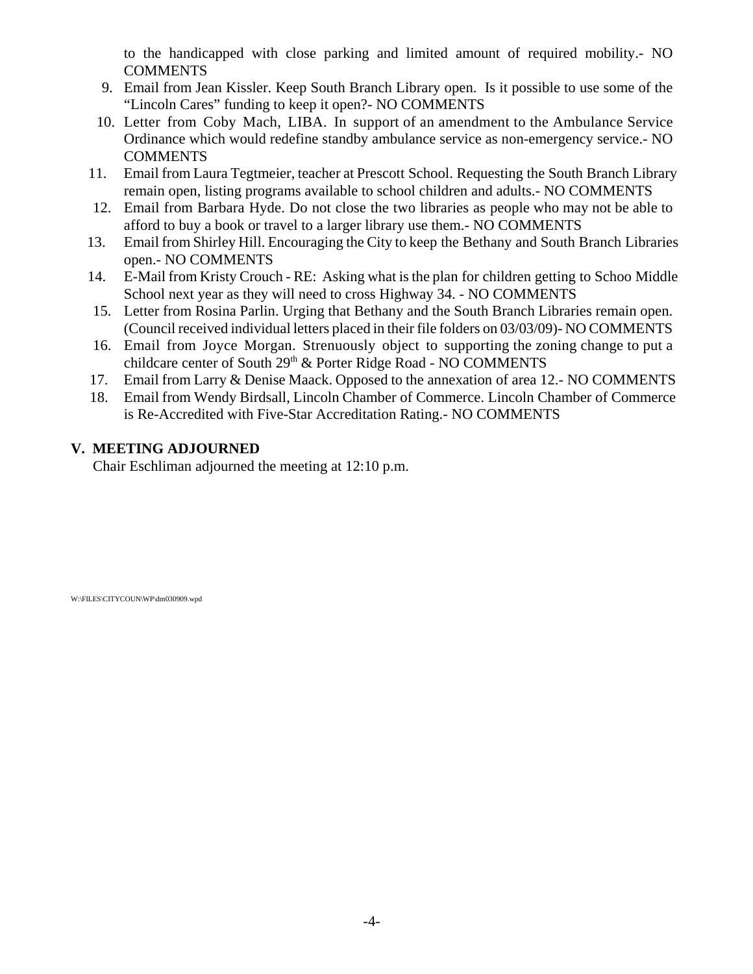to the handicapped with close parking and limited amount of required mobility.- NO **COMMENTS** 

- 9. Email from Jean Kissler. Keep South Branch Library open. Is it possible to use some of the "Lincoln Cares" funding to keep it open?- NO COMMENTS
- 10. Letter from Coby Mach, LIBA. In support of an amendment to the Ambulance Service Ordinance which would redefine standby ambulance service as non-emergency service.- NO **COMMENTS**
- 11. Email from Laura Tegtmeier, teacher at Prescott School. Requesting the South Branch Library remain open, listing programs available to school children and adults.- NO COMMENTS
- 12. Email from Barbara Hyde. Do not close the two libraries as people who may not be able to afford to buy a book or travel to a larger library use them.- NO COMMENTS
- 13. Email from Shirley Hill. Encouraging the City to keep the Bethany and South Branch Libraries open.- NO COMMENTS
- 14. E-Mail from Kristy Crouch RE: Asking what is the plan for children getting to Schoo Middle School next year as they will need to cross Highway 34. - NO COMMENTS
- 15. Letter from Rosina Parlin. Urging that Bethany and the South Branch Libraries remain open. (Council received individual letters placed in their file folders on 03/03/09)- NO COMMENTS
- 16. Email from Joyce Morgan. Strenuously object to supporting the zoning change to put a childcare center of South 29<sup>th</sup> & Porter Ridge Road - NO COMMENTS
- 17. Email from Larry & Denise Maack. Opposed to the annexation of area 12.- NO COMMENTS
- 18. Email from Wendy Birdsall, Lincoln Chamber of Commerce. Lincoln Chamber of Commerce is Re-Accredited with Five-Star Accreditation Rating.- NO COMMENTS

## **V. MEETING ADJOURNED**

Chair Eschliman adjourned the meeting at 12:10 p.m.

W:\FILES\CITYCOUN\WP\dm030909.wpd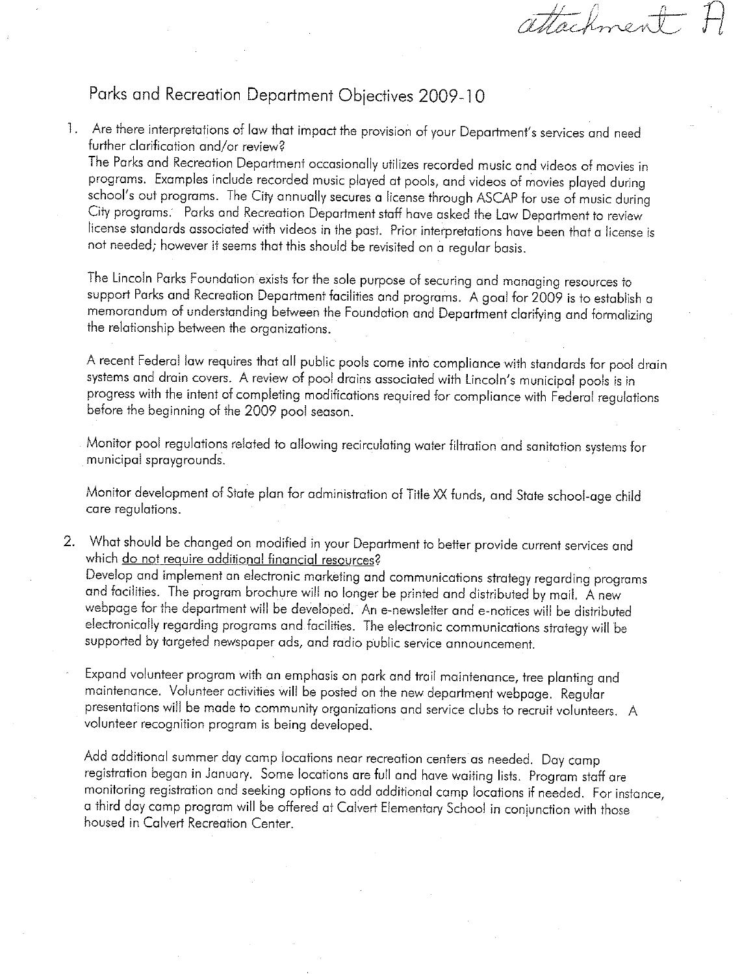attachment

# Parks and Recreation Department Objectives 2009-10

1. Are there interpretations of law that impact the provision of your Department's services and need further clarification and/or review?

The Parks and Recreation Department occasionally utilizes recorded music and videos of movies in programs. Examples include recorded music played at pools, and videos of movies played during school's out programs. The City annually secures a license through ASCAP for use of music during City programs. Parks and Recreation Department staff have asked the Law Department to review license standards associated with videos in the past. Prior interpretations have been that a license is not needed; however it seems that this should be revisited on a reaular basis.

The Lincoln Parks Foundation exists for the sole purpose of securing and managing resources to support Parks and Recreation Department facilities and programs. A goal for 2009 is to establish a memorandum of understanding between the Foundation and Department clarifying and formalizing the relationship between the organizations.

A recent Federal law requires that all public pools come into compliance with standards for pool drain systems and drain covers. A review of pool drains associated with Lincoln's municipal pools is in progress with the intent of completing modifications required for compliance with Federal regulations before the beginning of the 2009 pool season.

Monitor pool regulations related to allowing recirculating water filtration and sanitation systems for municipal spraygrounds.

Monitor development of State plan for administration of Title XX funds, and State school-age child care regulations.

2. What should be changed on modified in your Department to better provide current services and which do not require additional financial resources?

Develop and implement an electronic marketing and communications strategy regarding programs and facilities. The program brochure will no longer be printed and distributed by mail. A new webpage for the department will be developed. An e-newsletter and e-notices will be distributed electronically regarding programs and facilities. The electronic communications strategy will be supported by targeted newspaper ads, and radio public service announcement.

Expand volunteer program with an emphasis on park and trail maintenance, tree planting and maintenance. Volunteer activities will be posted on the new department webpage. Regular presentations will be made to community organizations and service clubs to recruit volunteers. A volunteer recognition program is being developed.

Add additional summer day camp locations near recreation centers as needed. Day camp registration began in January. Some locations are full and have waiting lists. Program staff are monitoring registration and seeking options to add additional camp locations if needed. For instance, a third day camp program will be offered at Calvert Elementary School in conjunction with those housed in Calvert Recreation Center.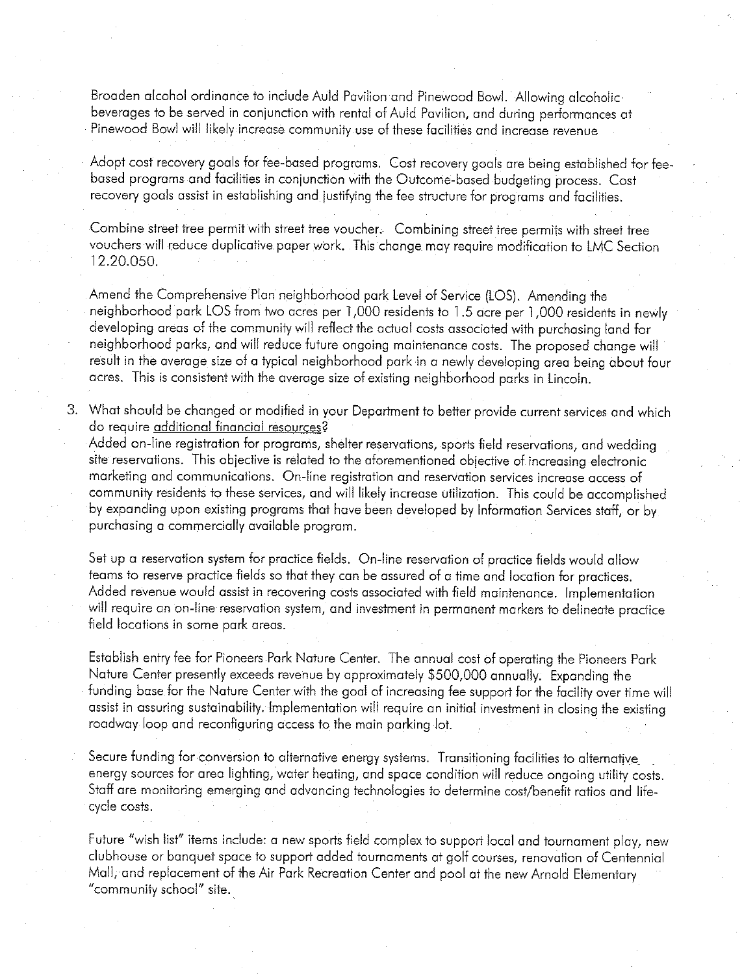Broaden alcohol ordinance to include Auld Pavilion and Pinewood Bowl. Allowing alcoholicbeverages to be served in conjunction with rental of Auld Pavilion, and during performances at Pinewood Bowl will likely increase community use of these facilities and increase revenue

Adopt cost recovery goals for fee-based programs. Cost recovery goals are being established for feebased programs and facilities in conjunction with the Outcome-based budgeting process. Cost recovery goals assist in establishing and justifying the fee structure for programs and facilities.

Combine street tree permit with street tree voucher. Combining street tree permits with street tree vouchers will reduce duplicative paper work. This change may require modification to LMC Section 12.20.050.

Amend the Comprehensive Plan neighborhood park Level of Service (LOS). Amending the neiahborhood park LOS from two acres per 1,000 residents to 1.5 acre per 1,000 residents in newly developing areas of the community will reflect the actual costs associated with purchasing land for neighborhood parks, and will reduce future ongoing maintenance costs. The proposed change will result in the average size of a typical neighborhood park in a newly developing area being about four acres. This is consistent with the average size of existing neighborhood parks in Lincoln.

3. What should be changed or modified in your Department to better provide current services and which do require additional financial resources?

Added on-line registration for programs, shelter reservations, sports field reservations, and wedding site reservations. This objective is related to the aforementioned objective of increasing electronic marketing and communications. On-line registration and reservation services increase access of community residents to these services, and will likely increase utilization. This could be accomplished by expanding upon existing programs that have been developed by Information Services staff, or by purchasing a commercially available program.

Set up a reservation system for practice fields. On-line reservation of practice fields would allow teams to reserve practice fields so that they can be assured of a time and location for practices. Added revenue would assist in recovering costs associated with field maintenance. Implementation will require an on-line reservation system, and investment in permanent markers to delineate practice field locations in some park areas.

Establish entry fee for Pioneers Park Nature Center. The annual cost of operating the Pioneers Park Nature Center presently exceeds revenue by approximately \$500,000 annually. Expanding the funding base for the Nature Center with the goal of increasing fee support for the facility over time will assist in assuring sustainability. Implementation will require an initial investment in closing the existing roadway loop and reconfiguring access to the main parking lot.

Secure funding for conversion to alternative energy systems. Transitioning facilities to alternative energy sources for area lighting, water heating, and space condition will reduce ongoing utility costs. Staff are monitoring emerging and advancing technologies to determine cost/benefit ratios and lifecycle costs.

Future "wish list" items include: a new sports field complex to support local and tournament play, new clubhouse or banquet space to support added tournaments at golf courses, renovation of Centennial Mall, and replacement of the Air Park Recreation Center and pool at the new Arnold Elementary "community school" site.